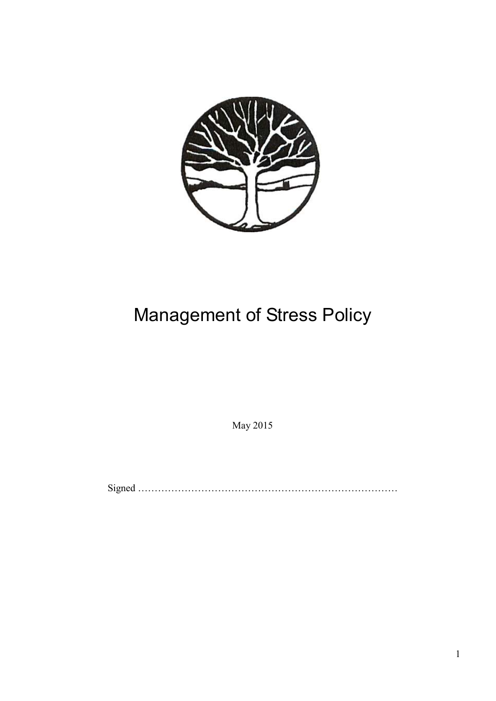

## Management of Stress Policy

May 2015

Signed ……………………………………………………………………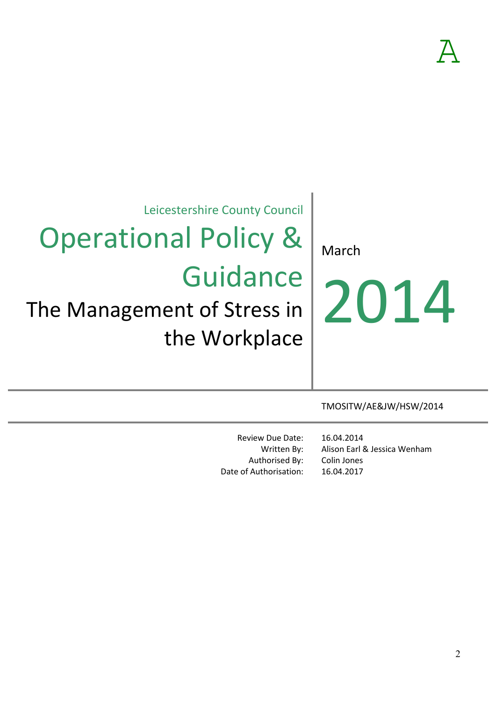Leicestershire County Council

## Operational Policy & **Guidance**

## The Management of Stress in the Workplace

March

# 2014

TMOSITW/AE&JW/HSW/2014

Review Due Date: Written By: Authorised By: Date of Authorisation:

16.04.2014 Alison Earl & Jessica Wenham Colin Jones 16.04.2017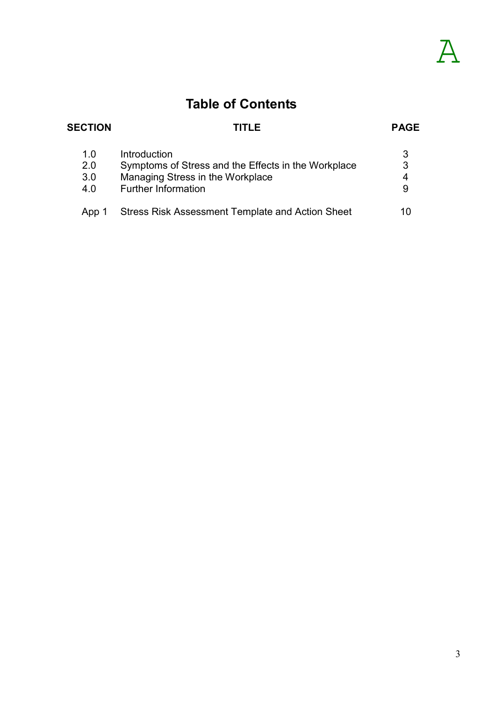### **Table of Contents**

#### **SECTION TITLE PAGE**

| 1.0   | Introduction                                            |    |
|-------|---------------------------------------------------------|----|
| 2.0   | Symptoms of Stress and the Effects in the Workplace     |    |
| 3.0   | Managing Stress in the Workplace                        |    |
| 4.0   | <b>Further Information</b>                              |    |
|       |                                                         |    |
| App 1 | <b>Stress Risk Assessment Template and Action Sheet</b> | 10 |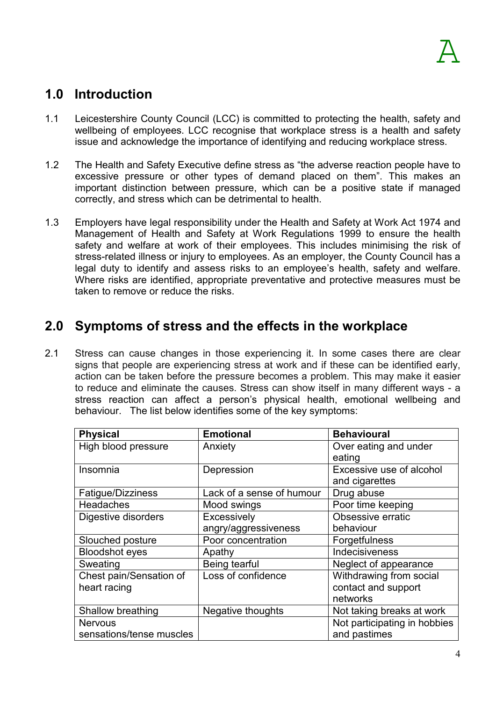#### **1.0 Introduction**

- 1.1 Leicestershire County Council (LCC) is committed to protecting the health, safety and wellbeing of employees. LCC recognise that workplace stress is a health and safety issue and acknowledge the importance of identifying and reducing workplace stress.
- 1.2 The Health and Safety Executive define stress as "the adverse reaction people have to excessive pressure or other types of demand placed on them". This makes an important distinction between pressure, which can be a positive state if managed correctly, and stress which can be detrimental to health.
- 1.3 Employers have legal responsibility under the Health and Safety at Work Act 1974 and Management of Health and Safety at Work Regulations 1999 to ensure the health safety and welfare at work of their employees. This includes minimising the risk of stress-related illness or injury to employees. As an employer, the County Council has a legal duty to identify and assess risks to an employee's health, safety and welfare. Where risks are identified, appropriate preventative and protective measures must be taken to remove or reduce the risks.

#### **2.0 Symptoms of stress and the effects in the workplace**

2.1 Stress can cause changes in those experiencing it. In some cases there are clear signs that people are experiencing stress at work and if these can be identified early, action can be taken before the pressure becomes a problem. This may make it easier to reduce and eliminate the causes. Stress can show itself in many different ways - a stress reaction can affect a person's physical health, emotional wellbeing and behaviour. The list below identifies some of the key symptoms:

| <b>Physical</b>          | <b>Emotional</b>          | <b>Behavioural</b>           |
|--------------------------|---------------------------|------------------------------|
| High blood pressure      | Anxiety                   | Over eating and under        |
|                          |                           | eating                       |
| Insomnia                 | Depression                | Excessive use of alcohol     |
|                          |                           | and cigarettes               |
| Fatigue/Dizziness        | Lack of a sense of humour | Drug abuse                   |
| <b>Headaches</b>         | Mood swings               | Poor time keeping            |
| Digestive disorders      | Excessively               | Obsessive erratic            |
|                          | angry/aggressiveness      | behaviour                    |
| Slouched posture         | Poor concentration        | Forgetfulness                |
| <b>Bloodshot eyes</b>    | Apathy                    | <b>Indecisiveness</b>        |
| Sweating                 | Being tearful             | Neglect of appearance        |
| Chest pain/Sensation of  | Loss of confidence        | Withdrawing from social      |
| heart racing             |                           | contact and support          |
|                          |                           | networks                     |
| Shallow breathing        | Negative thoughts         | Not taking breaks at work    |
| <b>Nervous</b>           |                           | Not participating in hobbies |
| sensations/tense muscles |                           | and pastimes                 |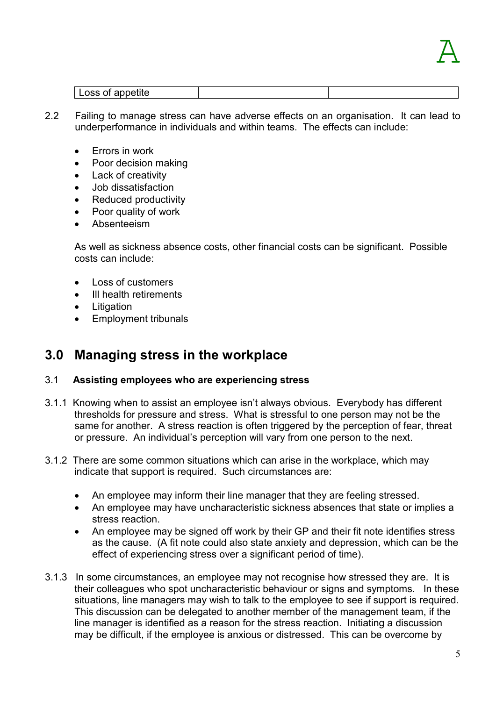

| Loss of appetite |  |
|------------------|--|

- 2.2 Failing to manage stress can have adverse effects on an organisation. It can lead to underperformance in individuals and within teams. The effects can include:
	- Errors in work
	- Poor decision making
	- Lack of creativity
	- Job dissatisfaction
	- Reduced productivity
	- Poor quality of work
	- Absenteeism

As well as sickness absence costs, other financial costs can be significant. Possible costs can include:

- Loss of customers
- Ill health retirements
- Litigation
- Employment tribunals

#### **3.0 Managing stress in the workplace**

#### 3.1 **Assisting employees who are experiencing stress**

- 3.1.1 Knowing when to assist an employee isn't always obvious. Everybody has different thresholds for pressure and stress. What is stressful to one person may not be the same for another. A stress reaction is often triggered by the perception of fear, threat or pressure. An individual's perception will vary from one person to the next.
- 3.1.2 There are some common situations which can arise in the workplace, which may indicate that support is required. Such circumstances are:
	- An employee may inform their line manager that they are feeling stressed.
	- An employee may have uncharacteristic sickness absences that state or implies a stress reaction.
	- An employee may be signed off work by their GP and their fit note identifies stress as the cause. (A fit note could also state anxiety and depression, which can be the effect of experiencing stress over a significant period of time).
- 3.1.3 In some circumstances, an employee may not recognise how stressed they are. It is their colleagues who spot uncharacteristic behaviour or signs and symptoms. In these situations, line managers may wish to talk to the employee to see if support is required. This discussion can be delegated to another member of the management team, if the line manager is identified as a reason for the stress reaction. Initiating a discussion may be difficult, if the employee is anxious or distressed. This can be overcome by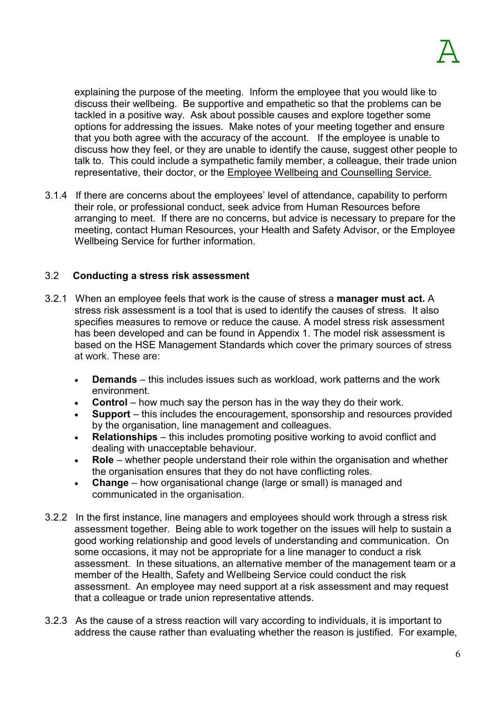explaining the purpose of the meeting. Inform the employee that you would like to discuss their wellbeing. Be supportive and empathetic so that the problems can be tackled in a positive way. Ask about possible causes and explore together some options for addressing the issues. Make notes of your meeting together and ensure that you both agree with the accuracy of the account. If the employee is unable to discuss how they feel, or they are unable to identify the cause, suggest other people to talk to. This could include a sympathetic family member, a colleague, their trade union representative, their doctor, or the Employee Wellbeing and Counselling Service.

3.1.4 If there are concerns about the employees' level of attendance, capability to perform their role, or professional conduct, seek advice from Human Resources before arranging to meet. If there are no concerns, but advice is necessary to prepare for the meeting, contact Human Resources, your Health and Safety Advisor, or the Employee Wellbeing Service for further information.

#### 3.2 **Conducting a stress risk assessment**

- 3.2.1 When an employee feels that work is the cause of stress a **manager must act.** A stress risk assessment is a tool that is used to identify the causes of stress. It also specifies measures to remove or reduce the cause. A model stress risk assessment has been developed and can be found in Appendix 1. The model risk assessment is based on the HSE Management Standards which cover the primary sources of stress at work. These are:
	- **Demands**  this includes issues such as workload, work patterns and the work environment.
	- **Control** how much say the person has in the way they do their work.
	- **Support** this includes the encouragement, sponsorship and resources provided by the organisation, line management and colleagues.
	- **Relationships**  this includes promoting positive working to avoid conflict and dealing with unacceptable behaviour.
	- **Role** whether people understand their role within the organisation and whether the organisation ensures that they do not have conflicting roles.
	- **Change**  how organisational change (large or small) is managed and communicated in the organisation.
- 3.2.2 In the first instance, line managers and employees should work through a stress risk assessment together. Being able to work together on the issues will help to sustain a good working relationship and good levels of understanding and communication. On some occasions, it may not be appropriate for a line manager to conduct a risk assessment. In these situations, an alternative member of the management team or a member of the Health, Safety and Wellbeing Service could conduct the risk assessment. An employee may need support at a risk assessment and may request that a colleague or trade union representative attends.
- 3.2.3 As the cause of a stress reaction will vary according to individuals, it is important to address the cause rather than evaluating whether the reason is justified. For example,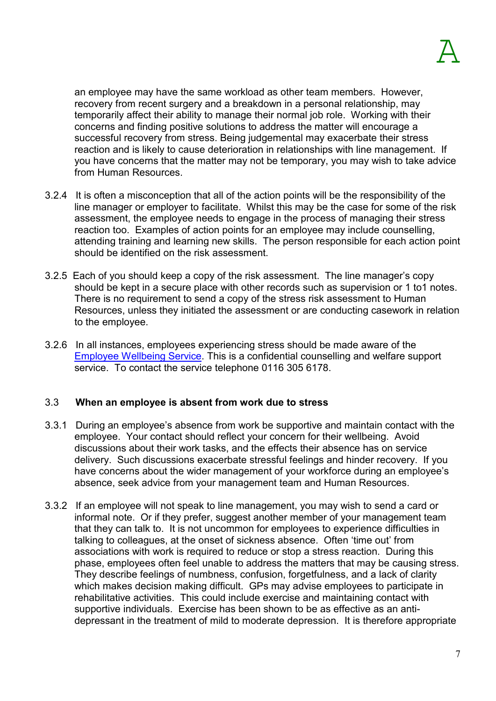an employee may have the same workload as other team members. However, recovery from recent surgery and a breakdown in a personal relationship, may temporarily affect their ability to manage their normal job role. Working with their concerns and finding positive solutions to address the matter will encourage a successful recovery from stress. Being judgemental may exacerbate their stress reaction and is likely to cause deterioration in relationships with line management. If you have concerns that the matter may not be temporary, you may wish to take advice from Human Resources.

- 3.2.4 It is often a misconception that all of the action points will be the responsibility of the line manager or employer to facilitate. Whilst this may be the case for some of the risk assessment, the employee needs to engage in the process of managing their stress reaction too. Examples of action points for an employee may include counselling, attending training and learning new skills. The person responsible for each action point should be identified on the risk assessment.
- 3.2.5 Each of you should keep a copy of the risk assessment. The line manager's copy should be kept in a secure place with other records such as supervision or 1 to1 notes. There is no requirement to send a copy of the stress risk assessment to Human Resources, unless they initiated the assessment or are conducting casework in relation to the employee.
- 3.2.6 In all instances, employees experiencing stress should be made aware of the Employee Wellbeing Service. This is a confidential counselling and welfare support service. To contact the service telephone 0116 305 6178.

#### 3.3 **When an employee is absent from work due to stress**

- 3.3.1 During an employee's absence from work be supportive and maintain contact with the employee. Your contact should reflect your concern for their wellbeing. Avoid discussions about their work tasks, and the effects their absence has on service delivery. Such discussions exacerbate stressful feelings and hinder recovery. If you have concerns about the wider management of your workforce during an employee's absence, seek advice from your management team and Human Resources.
- 3.3.2 If an employee will not speak to line management, you may wish to send a card or informal note. Or if they prefer, suggest another member of your management team that they can talk to. It is not uncommon for employees to experience difficulties in talking to colleagues, at the onset of sickness absence. Often 'time out' from associations with work is required to reduce or stop a stress reaction. During this phase, employees often feel unable to address the matters that may be causing stress. They describe feelings of numbness, confusion, forgetfulness, and a lack of clarity which makes decision making difficult. GPs may advise employees to participate in rehabilitative activities. This could include exercise and maintaining contact with supportive individuals. Exercise has been shown to be as effective as an antidepressant in the treatment of mild to moderate depression. It is therefore appropriate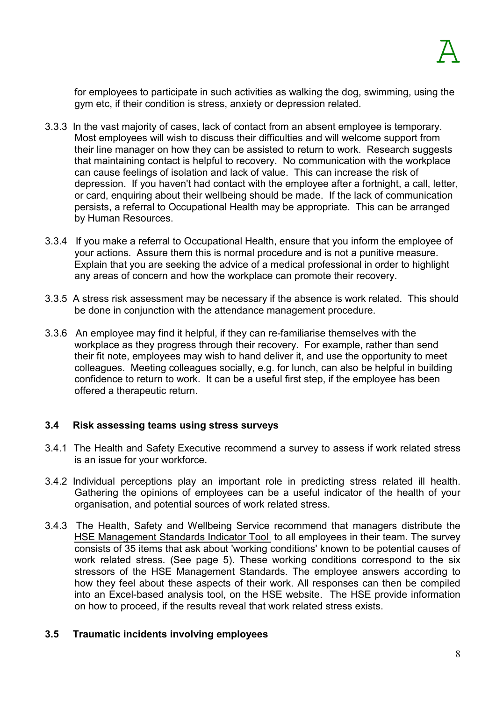for employees to participate in such activities as walking the dog, swimming, using the gym etc, if their condition is stress, anxiety or depression related.

- 3.3.3 In the vast majority of cases, lack of contact from an absent employee is temporary. Most employees will wish to discuss their difficulties and will welcome support from their line manager on how they can be assisted to return to work. Research suggests that maintaining contact is helpful to recovery. No communication with the workplace can cause feelings of isolation and lack of value. This can increase the risk of depression. If you haven't had contact with the employee after a fortnight, a call, letter, or card, enquiring about their wellbeing should be made. If the lack of communication persists, a referral to Occupational Health may be appropriate. This can be arranged by Human Resources.
- 3.3.4 If you make a referral to Occupational Health, ensure that you inform the employee of your actions. Assure them this is normal procedure and is not a punitive measure. Explain that you are seeking the advice of a medical professional in order to highlight any areas of concern and how the workplace can promote their recovery.
- 3.3.5 A stress risk assessment may be necessary if the absence is work related. This should be done in conjunction with the attendance management procedure.
- 3.3.6 An employee may find it helpful, if they can re-familiarise themselves with the workplace as they progress through their recovery. For example, rather than send their fit note, employees may wish to hand deliver it, and use the opportunity to meet colleagues. Meeting colleagues socially, e.g. for lunch, can also be helpful in building confidence to return to work. It can be a useful first step, if the employee has been offered a therapeutic return.

#### **3.4 Risk assessing teams using stress surveys**

- 3.4.1 The Health and Safety Executive recommend a survey to assess if work related stress is an issue for your workforce.
- 3.4.2 Individual perceptions play an important role in predicting stress related ill health. Gathering the opinions of employees can be a useful indicator of the health of your organisation, and potential sources of work related stress.
- 3.4.3 The Health, Safety and Wellbeing Service recommend that managers distribute the HSE Management Standards Indicator Tool to all employees in their team. The survey consists of 35 items that ask about 'working conditions' known to be potential causes of work related stress. (See page 5). These working conditions correspond to the six stressors of the HSE Management Standards. The employee answers according to how they feel about these aspects of their work. All responses can then be compiled into an Excel-based analysis tool, on the HSE website. The HSE provide information on how to proceed, if the results reveal that work related stress exists.

#### **3.5 Traumatic incidents involving employees**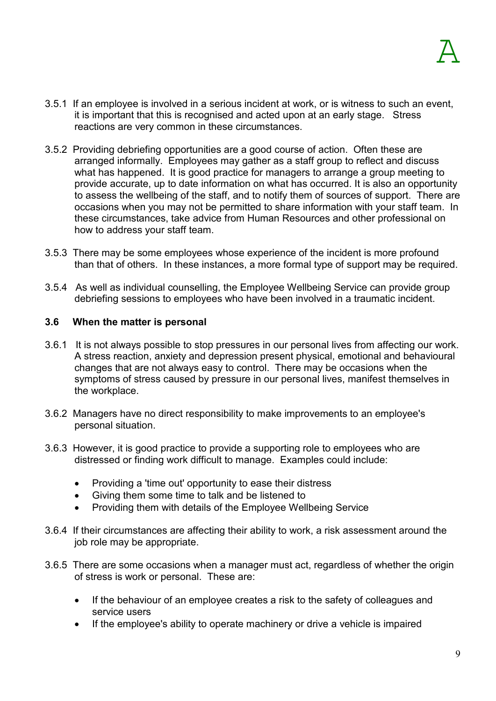- 3.5.1 If an employee is involved in a serious incident at work, or is witness to such an event, it is important that this is recognised and acted upon at an early stage. Stress reactions are very common in these circumstances.
- 3.5.2 Providing debriefing opportunities are a good course of action. Often these are arranged informally. Employees may gather as a staff group to reflect and discuss what has happened. It is good practice for managers to arrange a group meeting to provide accurate, up to date information on what has occurred. It is also an opportunity to assess the wellbeing of the staff, and to notify them of sources of support. There are occasions when you may not be permitted to share information with your staff team. In these circumstances, take advice from Human Resources and other professional on how to address your staff team.
- 3.5.3 There may be some employees whose experience of the incident is more profound than that of others. In these instances, a more formal type of support may be required.
- 3.5.4 As well as individual counselling, the Employee Wellbeing Service can provide group debriefing sessions to employees who have been involved in a traumatic incident.

#### **3.6 When the matter is personal**

- 3.6.1 It is not always possible to stop pressures in our personal lives from affecting our work. A stress reaction, anxiety and depression present physical, emotional and behavioural changes that are not always easy to control. There may be occasions when the symptoms of stress caused by pressure in our personal lives, manifest themselves in the workplace.
- 3.6.2 Managers have no direct responsibility to make improvements to an employee's personal situation.
- 3.6.3 However, it is good practice to provide a supporting role to employees who are distressed or finding work difficult to manage. Examples could include:
	- Providing a 'time out' opportunity to ease their distress
	- Giving them some time to talk and be listened to
	- Providing them with details of the Employee Wellbeing Service
- 3.6.4 If their circumstances are affecting their ability to work, a risk assessment around the job role may be appropriate.
- 3.6.5 There are some occasions when a manager must act, regardless of whether the origin of stress is work or personal. These are:
	- If the behaviour of an employee creates a risk to the safety of colleagues and service users
	- If the employee's ability to operate machinery or drive a vehicle is impaired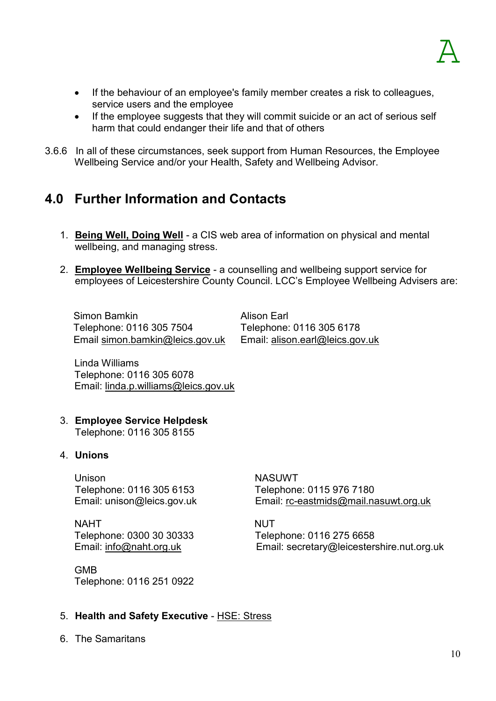- If the behaviour of an employee's family member creates a risk to colleagues, service users and the employee
- If the employee suggests that they will commit suicide or an act of serious self harm that could endanger their life and that of others
- 3.6.6 In all of these circumstances, seek support from Human Resources, the Employee Wellbeing Service and/or your Health, Safety and Wellbeing Advisor.

#### **4.0 Further Information and Contacts**

- 1. **Being Well, Doing Well**  a CIS web area of information on physical and mental wellbeing, and managing stress.
- 2. **Employee Wellbeing Service** a counselling and wellbeing support service for employees of Leicestershire County Council. LCC's Employee Wellbeing Advisers are:

Simon Bamkin Alison Earl Telephone: 0116 305 7504 Telephone: 0116 305 6178 Email simon.bamkin@leics.gov.uk Email: alison.earl@leics.gov.uk

Linda Williams Telephone: 0116 305 6078 Email: linda.p.williams@leics.gov.uk

3. **Employee Service Helpdesk** Telephone: 0116 305 8155

#### 4. **Unions**

Unison NASUWT Telephone: 0116 305 6153 Telephone: 0115 976 7180

NAHT NUT Telephone: 0300 30 30333 Telephone: 0116 275 6658

GMB Telephone: 0116 251 0922

Email: unison@leics.gov.uk Email: rc-eastmids@mail.nasuwt.org.uk

Email: info@naht.org.uk Email: secretary@leicestershire.nut.org.uk

#### 5. **Health and Safety Executive** - HSE: Stress

6. The Samaritans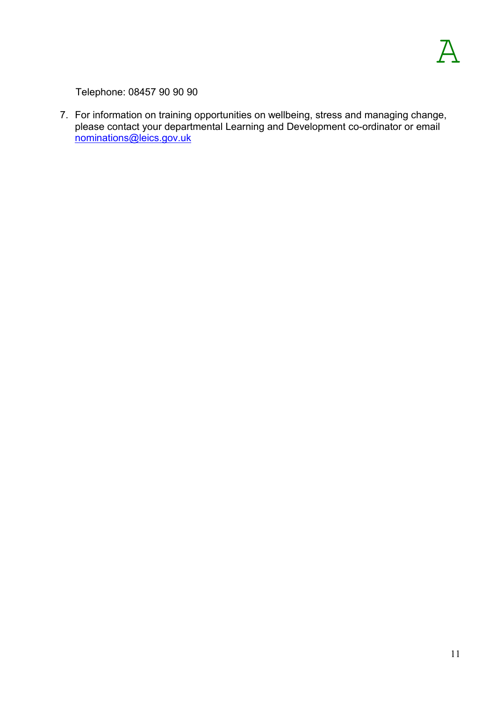Telephone: 08457 90 90 90

7. For information on training opportunities on wellbeing, stress and managing change, please contact your departmental Learning and Development co-ordinator or email nominations@leics.gov.uk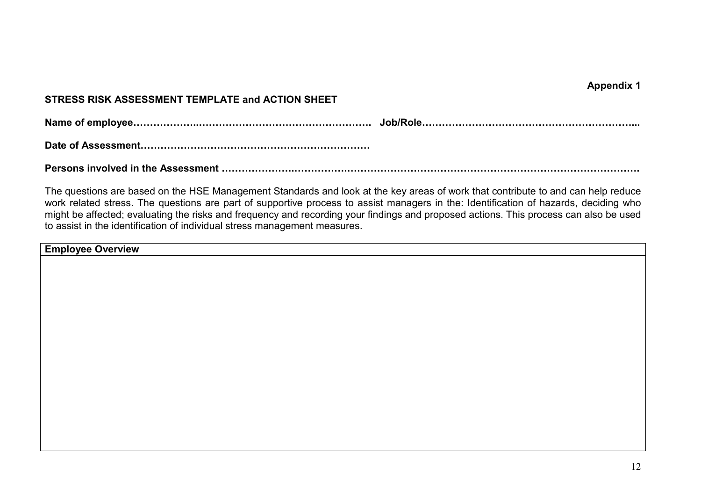**Appendix 1** 

#### **STRESS RISK ASSESSMENT TEMPLATE and ACTION SHEET**

**Name of employee666666..66666666666666666. Job/Role666666666666666666666...** 

**Date of Assessment66666666666666666666666**

**Persons involved in the Assessment 6666666.66666.66666666666666666666666666666.** 

The questions are based on the HSE Management Standards and look at the key areas of work that contribute to and can help reduce work related stress. The questions are part of supportive process to assist managers in the: Identification of hazards, deciding who might be affected; evaluating the risks and frequency and recording your findings and proposed actions. This process can also be used to assist in the identification of individual stress management measures.

**Employee Overview**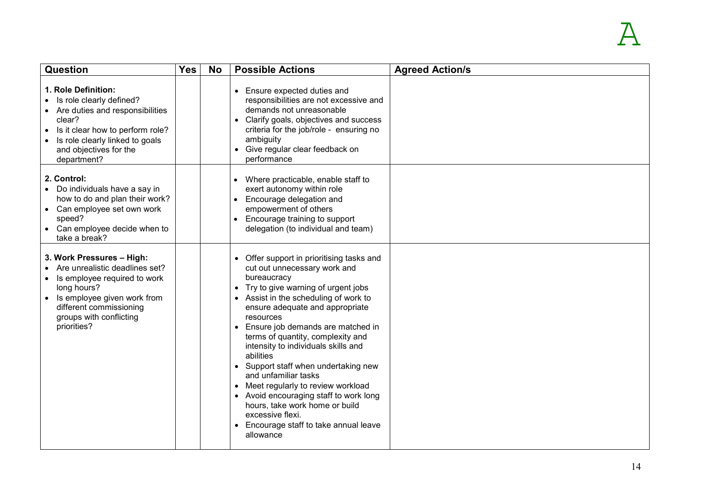| <b>Question</b>                                                                                                                                                                                                             | <b>Yes</b> | <b>No</b> | <b>Possible Actions</b>                                                                                                                                                                                                                                                                                                                                                                                                                                                                                                                                                                                                 | <b>Agreed Action/s</b> |
|-----------------------------------------------------------------------------------------------------------------------------------------------------------------------------------------------------------------------------|------------|-----------|-------------------------------------------------------------------------------------------------------------------------------------------------------------------------------------------------------------------------------------------------------------------------------------------------------------------------------------------------------------------------------------------------------------------------------------------------------------------------------------------------------------------------------------------------------------------------------------------------------------------------|------------------------|
| 1. Role Definition:<br>Is role clearly defined?<br>• Are duties and responsibilities<br>clear?<br>Is it clear how to perform role?<br>$\bullet$<br>Is role clearly linked to goals<br>and objectives for the<br>department? |            |           | • Ensure expected duties and<br>responsibilities are not excessive and<br>demands not unreasonable<br>• Clarify goals, objectives and success<br>criteria for the job/role - ensuring no<br>ambiguity<br>• Give regular clear feedback on<br>performance                                                                                                                                                                                                                                                                                                                                                                |                        |
| 2. Control:<br>• Do individuals have a say in<br>how to do and plan their work?<br>• Can employee set own work<br>speed?<br>• Can employee decide when to<br>take a break?                                                  |            |           | • Where practicable, enable staff to<br>exert autonomy within role<br>Encourage delegation and<br>empowerment of others<br>Encourage training to support<br>delegation (to individual and team)                                                                                                                                                                                                                                                                                                                                                                                                                         |                        |
| 3. Work Pressures - High:<br>Are unrealistic deadlines set?<br>Is employee required to work<br>long hours?<br>Is employee given work from<br>different commissioning<br>groups with conflicting<br>priorities?              |            |           | • Offer support in prioritising tasks and<br>cut out unnecessary work and<br>bureaucracy<br>• Try to give warning of urgent jobs<br>• Assist in the scheduling of work to<br>ensure adequate and appropriate<br>resources<br>• Ensure job demands are matched in<br>terms of quantity, complexity and<br>intensity to individuals skills and<br>abilities<br>• Support staff when undertaking new<br>and unfamiliar tasks<br>• Meet regularly to review workload<br>• Avoid encouraging staff to work long<br>hours, take work home or build<br>excessive flexi.<br>• Encourage staff to take annual leave<br>allowance |                        |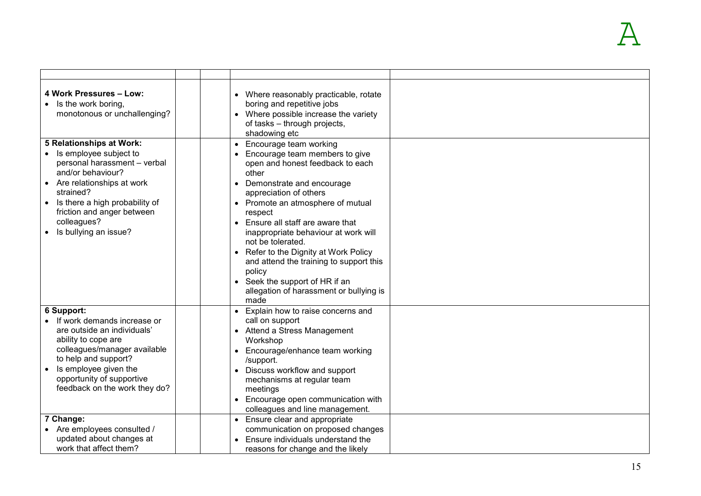| 4 Work Pressures - Low:<br>Is the work boring,<br>monotonous or unchallenging?                                                                                                                                                                                         | • Where reasonably practicable, rotate<br>boring and repetitive jobs<br>• Where possible increase the variety<br>of tasks - through projects,<br>shadowing etc                                                                                                                                                                                                                                                                                                                                  |  |
|------------------------------------------------------------------------------------------------------------------------------------------------------------------------------------------------------------------------------------------------------------------------|-------------------------------------------------------------------------------------------------------------------------------------------------------------------------------------------------------------------------------------------------------------------------------------------------------------------------------------------------------------------------------------------------------------------------------------------------------------------------------------------------|--|
| 5 Relationships at Work:<br>Is employee subject to<br>personal harassment - verbal<br>and/or behaviour?<br>Are relationships at work<br>strained?<br>Is there a high probability of<br>$\bullet$<br>friction and anger between<br>colleagues?<br>Is bullying an issue? | Encourage team working<br>Encourage team members to give<br>open and honest feedback to each<br>other<br>Demonstrate and encourage<br>appreciation of others<br>• Promote an atmosphere of mutual<br>respect<br>• Ensure all staff are aware that<br>inappropriate behaviour at work will<br>not be tolerated.<br>Refer to the Dignity at Work Policy<br>and attend the training to support this<br>policy<br>• Seek the support of HR if an<br>allegation of harassment or bullying is<br>made |  |
| 6 Support:<br>If work demands increase or<br>are outside an individuals'<br>ability to cope are<br>colleagues/manager available<br>to help and support?<br>Is employee given the<br>opportunity of supportive<br>feedback on the work they do?<br>7 Change:            | • Explain how to raise concerns and<br>call on support<br>• Attend a Stress Management<br>Workshop<br>Encourage/enhance team working<br>/support.<br>Discuss workflow and support<br>mechanisms at regular team<br>meetings<br>Encourage open communication with<br>colleagues and line management.<br>• Ensure clear and appropriate                                                                                                                                                           |  |
| Are employees consulted /<br>updated about changes at<br>work that affect them?                                                                                                                                                                                        | communication on proposed changes<br>Ensure individuals understand the<br>reasons for change and the likely                                                                                                                                                                                                                                                                                                                                                                                     |  |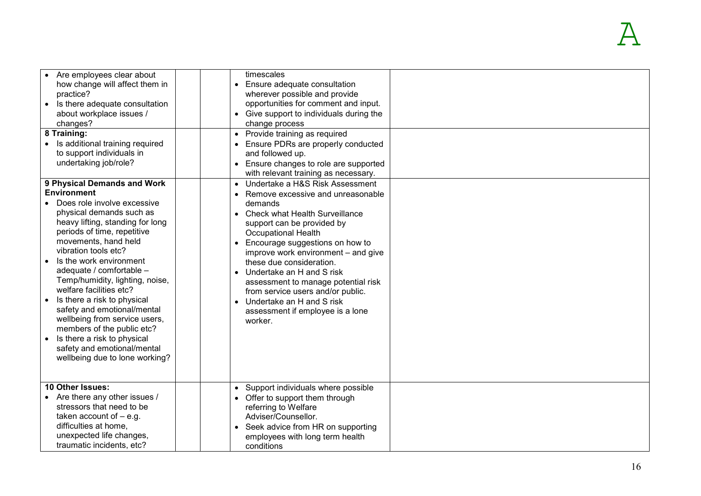| Are employees clear about<br>how change will affect them in<br>practice?<br>Is there adequate consultation<br>about workplace issues /<br>changes?<br>8 Training:<br>Is additional training required<br>to support individuals in<br>undertaking job/role?<br>9 Physical Demands and Work<br><b>Environment</b><br>Does role involve excessive<br>physical demands such as<br>heavy lifting, standing for long<br>periods of time, repetitive<br>movements, hand held<br>vibration tools etc?<br>Is the work environment<br>adequate / comfortable -<br>Temp/humidity, lighting, noise,<br>welfare facilities etc?<br>Is there a risk to physical<br>safety and emotional/mental<br>wellbeing from service users,<br>members of the public etc?<br>Is there a risk to physical<br>safety and emotional/mental<br>wellbeing due to lone working? | timescales<br>• Ensure adequate consultation<br>wherever possible and provide<br>opportunities for comment and input.<br>• Give support to individuals during the<br>change process<br>• Provide training as required<br>• Ensure PDRs are properly conducted<br>and followed up.<br>• Ensure changes to role are supported<br>with relevant training as necessary.<br>• Undertake a H&S Risk Assessment<br>Remove excessive and unreasonable<br>demands<br>• Check what Health Surveillance<br>support can be provided by<br>Occupational Health<br>• Encourage suggestions on how to<br>improve work environment – and give<br>these due consideration.<br>• Undertake an H and S risk<br>assessment to manage potential risk<br>from service users and/or public.<br>• Undertake an H and S risk<br>assessment if employee is a lone<br>worker. |  |
|-------------------------------------------------------------------------------------------------------------------------------------------------------------------------------------------------------------------------------------------------------------------------------------------------------------------------------------------------------------------------------------------------------------------------------------------------------------------------------------------------------------------------------------------------------------------------------------------------------------------------------------------------------------------------------------------------------------------------------------------------------------------------------------------------------------------------------------------------|----------------------------------------------------------------------------------------------------------------------------------------------------------------------------------------------------------------------------------------------------------------------------------------------------------------------------------------------------------------------------------------------------------------------------------------------------------------------------------------------------------------------------------------------------------------------------------------------------------------------------------------------------------------------------------------------------------------------------------------------------------------------------------------------------------------------------------------------------|--|
| 10 Other Issues:<br>Are there any other issues /<br>stressors that need to be<br>taken account of $-$ e.g.<br>difficulties at home,<br>unexpected life changes,<br>traumatic incidents, etc?                                                                                                                                                                                                                                                                                                                                                                                                                                                                                                                                                                                                                                                    | • Support individuals where possible<br>• Offer to support them through<br>referring to Welfare<br>Adviser/Counsellor.<br>• Seek advice from HR on supporting<br>employees with long term health<br>conditions                                                                                                                                                                                                                                                                                                                                                                                                                                                                                                                                                                                                                                     |  |